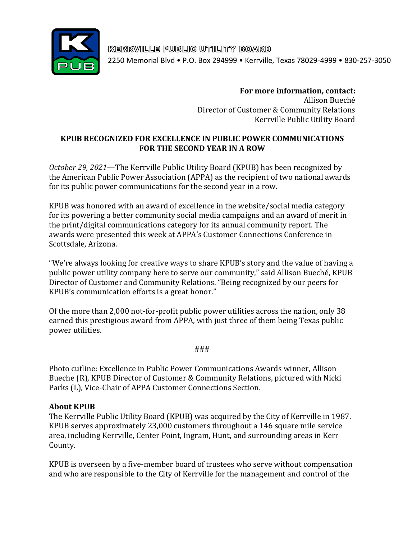

KERRVILLE PUBLIC UTILITY BOARD 2250 Memorial Blvd • P.O. Box 294999 • Kerrville, Texas 78029-4999 • 830-257-3050

> **For more information, contact:** Allison Bueché Director of Customer & Community Relations Kerrville Public Utility Board

## **KPUB RECOGNIZED FOR EXCELLENCE IN PUBLIC POWER COMMUNICATIONS FOR THE SECOND YEAR IN A ROW**

*October 29, 2021*—The Kerrville Public Utility Board (KPUB) has been recognized by the American Public Power Association (APPA) as the recipient of two national awards for its public power communications for the second year in a row.

KPUB was honored with an award of excellence in the website/social media category for its powering a better community social media campaigns and an award of merit in the print/digital communications category for its annual community report. The awards were presented this week at APPA's Customer Connections Conference in Scottsdale, Arizona.

"We're always looking for creative ways to share KPUB's story and the value of having a public power utility company here to serve our community," said Allison Bueché, KPUB Director of Customer and Community Relations. "Being recognized by our peers for KPUB's communication efforts is a great honor."

Of the more than 2,000 not-for-profit public power utilities across the nation, only 38 earned this prestigious award from APPA, with just three of them being Texas public power utilities.

###

Photo cutline: Excellence in Public Power Communications Awards winner, Allison Bueche (R), KPUB Director of Customer & Community Relations, pictured with Nicki Parks (L), Vice-Chair of APPA Customer Connections Section.

## **About KPUB**

The Kerrville Public Utility Board (KPUB) was acquired by the City of Kerrville in 1987. KPUB serves approximately 23,000 customers throughout a 146 square mile service area, including Kerrville, Center Point, Ingram, Hunt, and surrounding areas in Kerr County.

KPUB is overseen by a five-member board of trustees who serve without compensation and who are responsible to the City of Kerrville for the management and control of the